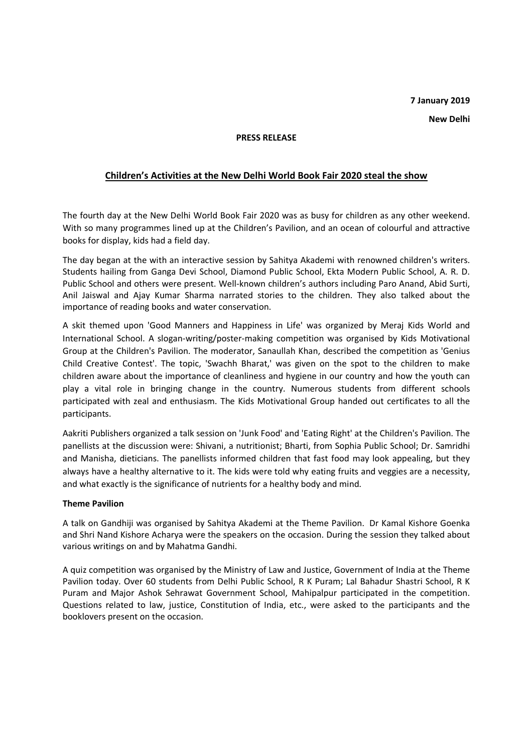# **7 January 2019 New Delhi**

#### **PRESS RELEASE**

## **Children's Activities at the New Delhi World Book Fair 2020 steal the show**

The fourth day at the New Delhi World Book Fair 2020 was as busy for children as any other weekend. With so many programmes lined up at the Children's Pavilion, and an ocean of colourful and attractive books for display, kids had a field day.

The day began at the with an interactive session by Sahitya Akademi with renowned children's writers. Students hailing from Ganga Devi School, Diamond Public School, Ekta Modern Public School, A. R. D. Public School and others were present. Well-known children's authors including Paro Anand, Abid Surti, Anil Jaiswal and Ajay Kumar Sharma narrated stories to the children. They also talked about the importance of reading books and water conservation.

A skit themed upon 'Good Manners and Happiness in Life' was organized by Meraj Kids World and International School. A slogan-writing/poster-making competition was organised by Kids Motivational Group at the Children's Pavilion. The moderator, Sanaullah Khan, described the competition as 'Genius Child Creative Contest'. The topic, 'Swachh Bharat,' was given on the spot to the children to make children aware about the importance of cleanliness and hygiene in our country and how the youth can play a vital role in bringing change in the country. Numerous students from different schools participated with zeal and enthusiasm. The Kids Motivational Group handed out certificates to all the participants.

Aakriti Publishers organized a talk session on 'Junk Food' and 'Eating Right' at the Children's Pavilion. The panellists at the discussion were: Shivani, a nutritionist; Bharti, from Sophia Public School; Dr. Samridhi and Manisha, dieticians. The panellists informed children that fast food may look appealing, but they always have a healthy alternative to it. The kids were told why eating fruits and veggies are a necessity, and what exactly is the significance of nutrients for a healthy body and mind.

#### **Theme Pavilion**

A talk on Gandhiji was organised by Sahitya Akademi at the Theme Pavilion. Dr Kamal Kishore Goenka and Shri Nand Kishore Acharya were the speakers on the occasion. During the session they talked about various writings on and by Mahatma Gandhi.

A quiz competition was organised by the Ministry of Law and Justice, Government of India at the Theme Pavilion today. Over 60 students from Delhi Public School, R K Puram; Lal Bahadur Shastri School, R K Puram and Major Ashok Sehrawat Government School, Mahipalpur participated in the competition. Questions related to law, justice, Constitution of India, etc., were asked to the participants and the booklovers present on the occasion.